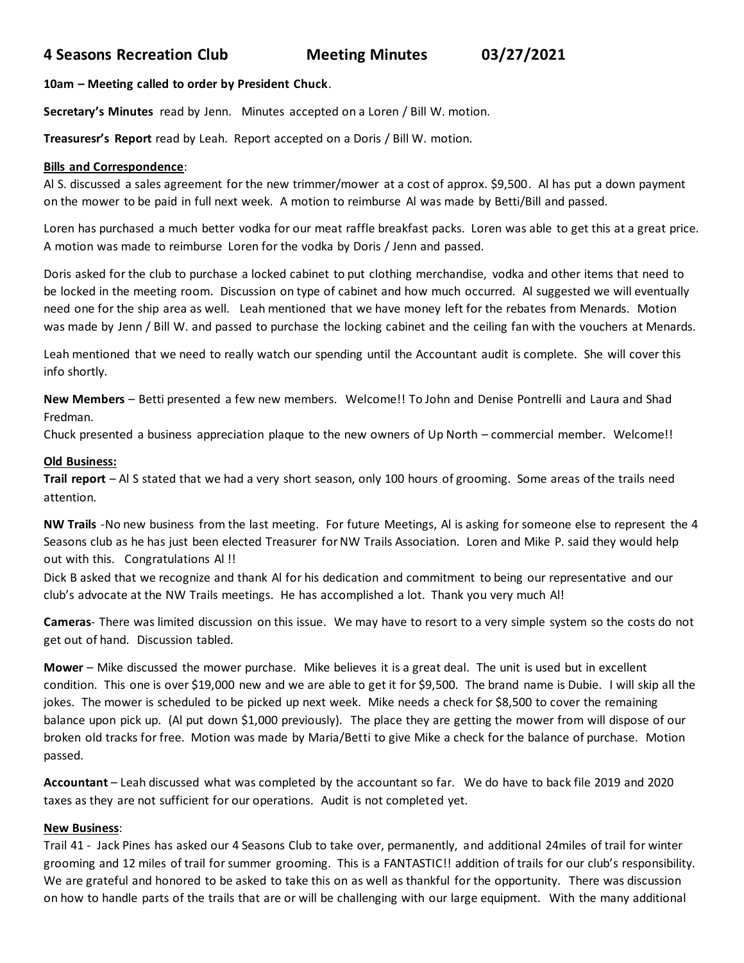# **4 Seasons Recreation Club Meeting Minutes 03/27/2021**

## **10am – Meeting called to order by President Chuck**.

**Secretary's Minutes** read by Jenn. Minutes accepted on a Loren / Bill W. motion.

**Treasuresr's Report** read by Leah. Report accepted on a Doris / Bill W. motion.

## **Bills and Correspondence**:

Al S. discussed a sales agreement for the new trimmer/mower at a cost of approx. \$9,500. Al has put a down payment on the mower to be paid in full next week. A motion to reimburse Al was made by Betti/Bill and passed.

Loren has purchased a much better vodka for our meat raffle breakfast packs. Loren was able to get this at a great price. A motion was made to reimburse Loren for the vodka by Doris / Jenn and passed.

Doris asked for the club to purchase a locked cabinet to put clothing merchandise, vodka and other items that need to be locked in the meeting room. Discussion on type of cabinet and how much occurred. Al suggested we will eventually need one for the ship area as well. Leah mentioned that we have money left for the rebates from Menards. Motion was made by Jenn / Bill W. and passed to purchase the locking cabinet and the ceiling fan with the vouchers at Menards.

Leah mentioned that we need to really watch our spending until the Accountant audit is complete. She will cover this info shortly.

**New Members** – Betti presented a few new members. Welcome!! To John and Denise Pontrelli and Laura and Shad Fredman.

Chuck presented a business appreciation plaque to the new owners of Up North – commercial member. Welcome!!

#### **Old Business:**

**Trail report** – Al S stated that we had a very short season, only 100 hours of grooming. Some areas of the trails need attention.

**NW Trails** -No new business from the last meeting. For future Meetings, Al is asking for someone else to represent the 4 Seasons club as he has just been elected Treasurer for NW Trails Association. Loren and Mike P. said they would help out with this. Congratulations Al !!

Dick B asked that we recognize and thank Al for his dedication and commitment to being our representative and our club's advocate at the NW Trails meetings. He has accomplished a lot. Thank you very much Al!

**Cameras**- There was limited discussion on this issue. We may have to resort to a very simple system so the costs do not get out of hand. Discussion tabled.

**Mower** – Mike discussed the mower purchase. Mike believes it is a great deal. The unit is used but in excellent condition. This one is over \$19,000 new and we are able to get it for \$9,500. The brand name is Dubie. I will skip all the jokes. The mower is scheduled to be picked up next week. Mike needs a check for \$8,500 to cover the remaining balance upon pick up. (Al put down \$1,000 previously). The place they are getting the mower from will dispose of our broken old tracks for free. Motion was made by Maria/Betti to give Mike a check for the balance of purchase. Motion passed.

**Accountant** – Leah discussed what was completed by the accountant so far. We do have to back file 2019 and 2020 taxes as they are not sufficient for our operations. Audit is not completed yet.

## **New Business**:

Trail 41 - Jack Pines has asked our 4 Seasons Club to take over, permanently, and additional 24miles of trail for winter grooming and 12 miles of trail for summer grooming. This is a FANTASTIC!! addition of trails for our club's responsibility. We are grateful and honored to be asked to take this on as well as thankful for the opportunity. There was discussion on how to handle parts of the trails that are or will be challenging with our large equipment. With the many additional